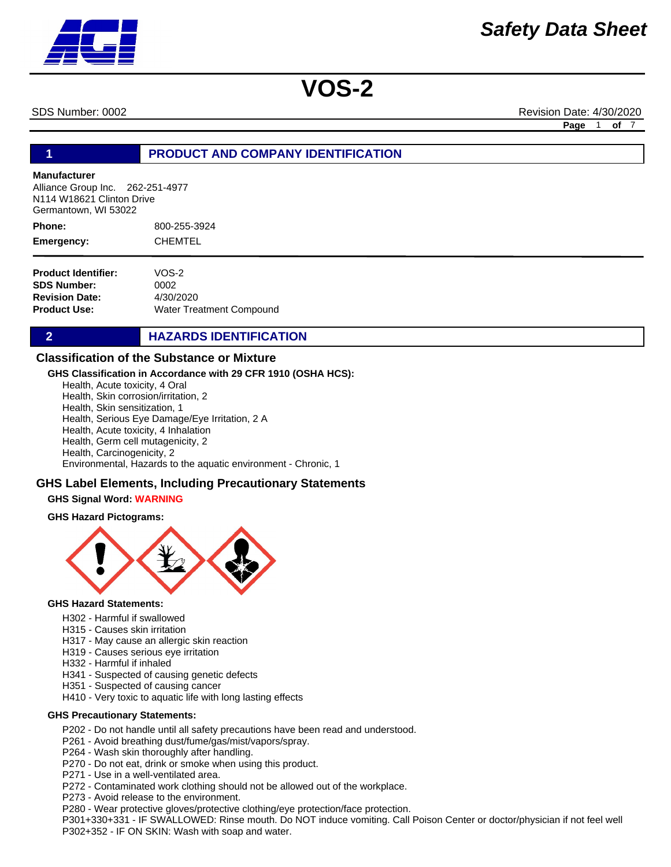SDS Number: 0002 Revision Date: 4/30/2020

**Page** 1 **of** 7

#### **1 PRODUCT AND COMPANY IDENTIFICATION**

#### **Manufacturer**

Alliance Group Inc. 262-251-4977 N114 W18621 Clinton Drive Germantown, WI 53022

800-255-3924 CHEMTEL **Phone: Emergency:**

| VOS-2                    |
|--------------------------|
| 0002                     |
| 4/30/2020                |
| Water Treatment Compound |
|                          |

#### **2 HAZARDS IDENTIFICATION**

#### **Classification of the Substance or Mixture**

#### **GHS Classification in Accordance with 29 CFR 1910 (OSHA HCS):**

Health, Acute toxicity, 4 Oral Health, Skin corrosion/irritation, 2 Health, Skin sensitization, 1 Health, Serious Eye Damage/Eye Irritation, 2 A Health, Acute toxicity, 4 Inhalation Health, Germ cell mutagenicity, 2 Health, Carcinogenicity, 2

Environmental, Hazards to the aquatic environment - Chronic, 1

#### **GHS Label Elements, Including Precautionary Statements**

#### **GHS Signal Word: WARNING**

#### **GHS Hazard Pictograms:**



#### **GHS Hazard Statements:**

- H302 Harmful if swallowed
- H315 Causes skin irritation
- H317 May cause an allergic skin reaction
- H319 Causes serious eye irritation
- H332 Harmful if inhaled
- H341 Suspected of causing genetic defects
- H351 Suspected of causing cancer
- H410 Very toxic to aquatic life with long lasting effects

#### **GHS Precautionary Statements:**

- P202 Do not handle until all safety precautions have been read and understood.
- P261 Avoid breathing dust/fume/gas/mist/vapors/spray.
- P264 Wash skin thoroughly after handling.
- P270 Do not eat, drink or smoke when using this product.
- P271 Use in a well-ventilated area.
- P272 Contaminated work clothing should not be allowed out of the workplace.
- P273 Avoid release to the environment.
- P280 Wear protective gloves/protective clothing/eye protection/face protection.

P301+330+331 - IF SWALLOWED: Rinse mouth. Do NOT induce vomiting. Call Poison Center or doctor/physician if not feel well P302+352 - IF ON SKIN: Wash with soap and water.

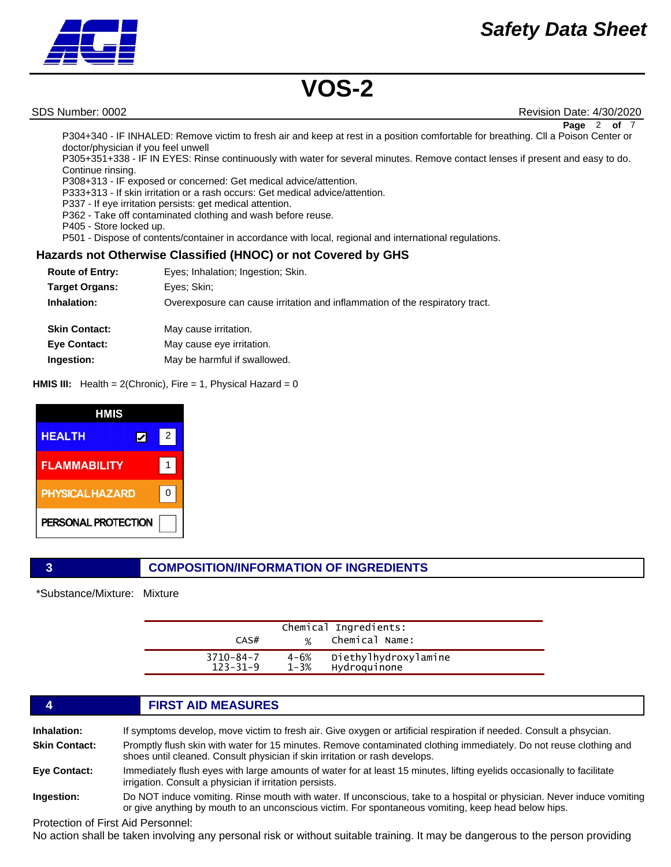

SDS Number: 0002 Revision Date: 4/30/2020 **Page** 2 **of** 7

P304+340 - IF INHALED: Remove victim to fresh air and keep at rest in a position comfortable for breathing. Cll a Poison Center or doctor/physician if you feel unwell

P305+351+338 - IF IN EYES: Rinse continuously with water for several minutes. Remove contact lenses if present and easy to do. Continue rinsing.

P308+313 - IF exposed or concerned: Get medical advice/attention.

P333+313 - If skin irritation or a rash occurs: Get medical advice/attention.

P337 - If eye irritation persists: get medical attention.

P362 - Take off contaminated clothing and wash before reuse.

P405 - Store locked up.

P501 - Dispose of contents/container in accordance with local, regional and international regulations.

#### **Hazards not Otherwise Classified (HNOC) or not Covered by GHS**

| <b>Route of Entry:</b> | Eyes; Inhalation; Ingestion; Skin.                                           |
|------------------------|------------------------------------------------------------------------------|
| <b>Target Organs:</b>  | Eyes; Skin;                                                                  |
| Inhalation:            | Overexposure can cause irritation and inflammation of the respiratory tract. |
| <b>Skin Contact:</b>   | May cause irritation.                                                        |
| <b>Eye Contact:</b>    | May cause eye irritation.                                                    |
| Ingestion:             | May be harmful if swallowed.                                                 |

**HMIS III:** Health = 2(Chronic), Fire = 1, Physical Hazard = 0

| HMIS                   |   |
|------------------------|---|
| <b>HEALTH</b>          | 2 |
| <b>FLAMMABILITY</b>    |   |
| <b>PHYSICAL HAZARD</b> |   |
| PERSONAL PROTECTION    |   |

#### **3 COMPOSITION/INFORMATION OF INGREDIENTS**

\*Substance/Mixture: Mixture

| CAS#                              | $\frac{1}{2}$        | Chemical Ingredients:<br>Chemical Name: |  |
|-----------------------------------|----------------------|-----------------------------------------|--|
| $3710 - 84 - 7$<br>$123 - 31 - 9$ | $4 - 6%$<br>$1 - 3%$ | Diethylhydroxylamine<br>Hydroquinone    |  |

### **4 FIRST AID MEASURES**

| Inhalation:          | If symptoms develop, move victim to fresh air. Give oxygen or artificial respiration if needed. Consult a phsycian.                                                                                                           |
|----------------------|-------------------------------------------------------------------------------------------------------------------------------------------------------------------------------------------------------------------------------|
| <b>Skin Contact:</b> | Promptly flush skin with water for 15 minutes. Remove contaminated clothing immediately. Do not reuse clothing and<br>shoes until cleaned. Consult physician if skin irritation or rash develops.                             |
| Eye Contact:         | Immediately flush eyes with large amounts of water for at least 15 minutes, lifting eyelids occasionally to facilitate<br>irrigation. Consult a physician if irritation persists.                                             |
| Ingestion:           | Do NOT induce vomiting. Rinse mouth with water. If unconscious, take to a hospital or physician. Never induce vomiting<br>or give anything by mouth to an unconscious victim. For spontaneous vomiting, keep head below hips. |

Protection of First Aid Personnel:

No action shall be taken involving any personal risk or without suitable training. It may be dangerous to the person providing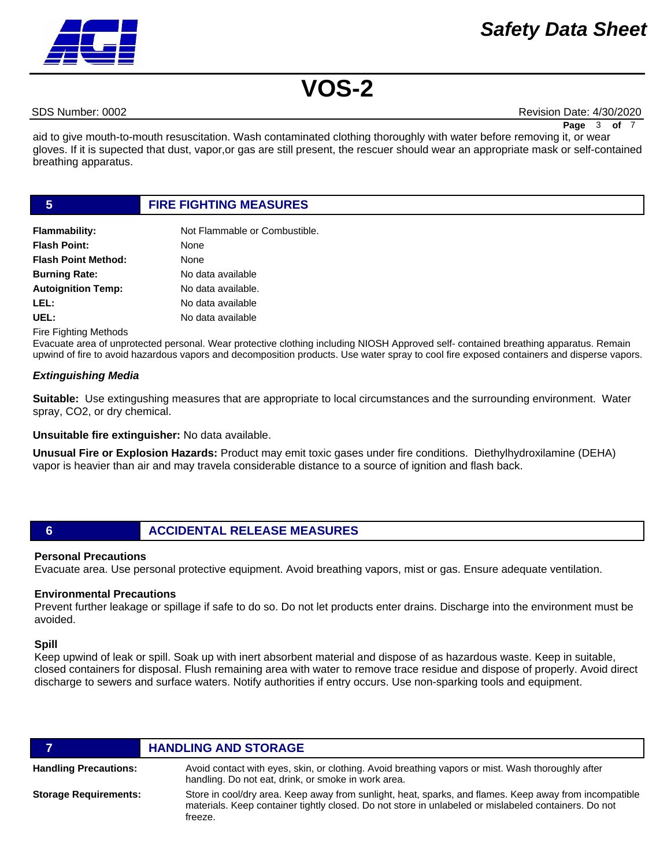## *Safety Data Sheet*



# **VOS-2**

SDS Number: 0002 Revision Date: 4/30/2020

**Page** 3 of

aid to give mouth-to-mouth resuscitation. Wash contaminated clothing thoroughly with water before removing it, or wear gloves. If it is supected that dust, vapor,or gas are still present, the rescuer should wear an appropriate mask or self-contained breathing apparatus.

#### **5 FIRE FIGHTING MEASURES**

| <b>Flammability:</b>       | Not Flammable or Combustible. |
|----------------------------|-------------------------------|
| <b>Flash Point:</b>        | None                          |
| <b>Flash Point Method:</b> | None                          |
| <b>Burning Rate:</b>       | No data available             |
| <b>Autoignition Temp:</b>  | No data available.            |
| LEL:                       | No data available             |
| UEL:                       | No data available             |

Fire Fighting Methods

Evacuate area of unprotected personal. Wear protective clothing including NIOSH Approved self- contained breathing apparatus. Remain upwind of fire to avoid hazardous vapors and decomposition products. Use water spray to cool fire exposed containers and disperse vapors.

#### *Extinguishing Media*

**Suitable:** Use extingushing measures that are appropriate to local circumstances and the surrounding environment. Water spray, CO2, or dry chemical.

**Unsuitable fire extinguisher:** No data available.

**Unusual Fire or Explosion Hazards:** Product may emit toxic gases under fire conditions. Diethylhydroxilamine (DEHA) vapor is heavier than air and may travela considerable distance to a source of ignition and flash back.

#### **6 ACCIDENTAL RELEASE MEASURES**

#### **Personal Precautions**

Evacuate area. Use personal protective equipment. Avoid breathing vapors, mist or gas. Ensure adequate ventilation.

#### **Environmental Precautions**

Prevent further leakage or spillage if safe to do so. Do not let products enter drains. Discharge into the environment must be avoided.

#### **Spill**

Keep upwind of leak or spill. Soak up with inert absorbent material and dispose of as hazardous waste. Keep in suitable, closed containers for disposal. Flush remaining area with water to remove trace residue and dispose of properly. Avoid direct discharge to sewers and surface waters. Notify authorities if entry occurs. Use non-sparking tools and equipment.

|                              | <b>HANDLING AND STORAGE</b>                                                                                                                                                                                               |
|------------------------------|---------------------------------------------------------------------------------------------------------------------------------------------------------------------------------------------------------------------------|
| <b>Handling Precautions:</b> | Avoid contact with eyes, skin, or clothing. Avoid breathing vapors or mist. Wash thoroughly after<br>handling. Do not eat, drink, or smoke in work area.                                                                  |
| <b>Storage Requirements:</b> | Store in cool/dry area. Keep away from sunlight, heat, sparks, and flames. Keep away from incompatible<br>materials. Keep container tightly closed. Do not store in unlabeled or mislabeled containers. Do not<br>freeze. |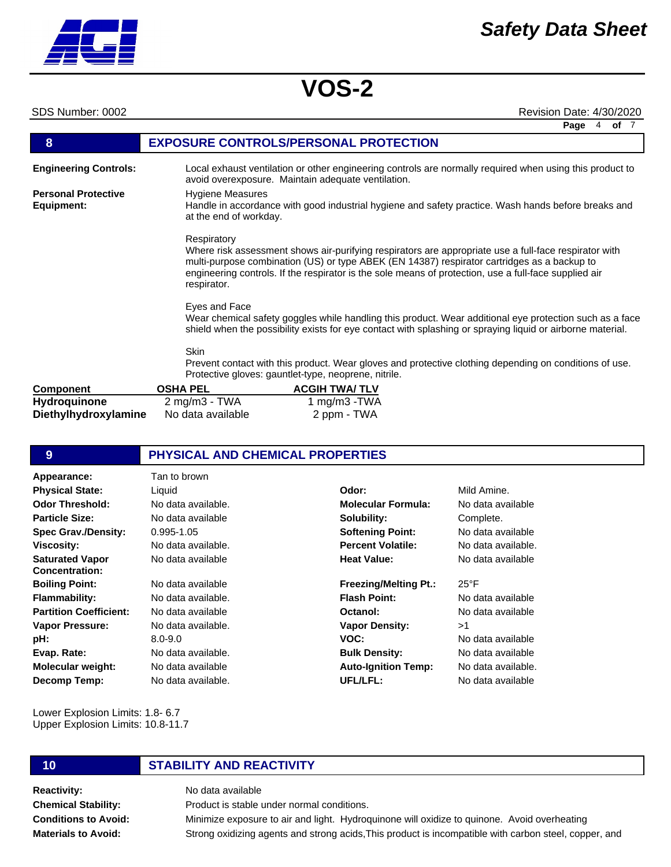SDS Number: 0002 Revision Date: 4/30/2020

|                                             |                                                     |                                                      |                                                                                                                                                                                                                                                                                                               | Page<br>4<br>of $7$ |
|---------------------------------------------|-----------------------------------------------------|------------------------------------------------------|---------------------------------------------------------------------------------------------------------------------------------------------------------------------------------------------------------------------------------------------------------------------------------------------------------------|---------------------|
| 8                                           | <b>EXPOSURE CONTROLS/PERSONAL PROTECTION</b>        |                                                      |                                                                                                                                                                                                                                                                                                               |                     |
| <b>Engineering Controls:</b>                |                                                     | avoid overexposure. Maintain adequate ventilation.   | Local exhaust ventilation or other engineering controls are normally required when using this product to                                                                                                                                                                                                      |                     |
| <b>Personal Protective</b><br>Equipment:    | Hygiene Measures<br>at the end of workday.          |                                                      | Handle in accordance with good industrial hygiene and safety practice. Wash hands before breaks and                                                                                                                                                                                                           |                     |
|                                             | Respiratory<br>respirator.                          |                                                      | Where risk assessment shows air-purifying respirators are appropriate use a full-face respirator with<br>multi-purpose combination (US) or type ABEK (EN 14387) respirator cartridges as a backup to<br>engineering controls. If the respirator is the sole means of protection, use a full-face supplied air |                     |
|                                             | Eyes and Face                                       |                                                      | Wear chemical safety goggles while handling this product. Wear additional eye protection such as a face<br>shield when the possibility exists for eye contact with splashing or spraying liquid or airborne material.                                                                                         |                     |
|                                             | <b>Skin</b>                                         | Protective gloves: gauntlet-type, neoprene, nitrile. | Prevent contact with this product. Wear gloves and protective clothing depending on conditions of use.                                                                                                                                                                                                        |                     |
| <b>Component</b>                            | <b>OSHA PEL</b>                                     | <b>ACGIH TWA/TLV</b>                                 |                                                                                                                                                                                                                                                                                                               |                     |
| <b>Hydroquinone</b><br>Diethylhydroxylamine | $2 \text{ mg/m}3 - \text{TWA}$<br>No data available | 1 mg/m $3$ -TWA<br>2 ppm - TWA                       |                                                                                                                                                                                                                                                                                                               |                     |

### **9 PHYSICAL AND CHEMICAL PROPERTIES**

| Appearance:                              | Tan to brown       |                              |                    |
|------------------------------------------|--------------------|------------------------------|--------------------|
| <b>Physical State:</b>                   | Liquid             | Odor:                        | Mild Amine.        |
| <b>Odor Threshold:</b>                   | No data available. | <b>Molecular Formula:</b>    | No data available  |
| <b>Particle Size:</b>                    | No data available  | Solubility:                  | Complete.          |
| <b>Spec Grav./Density:</b>               | $0.995 - 1.05$     | <b>Softening Point:</b>      | No data available  |
| <b>Viscosity:</b>                        | No data available. | <b>Percent Volatile:</b>     | No data available. |
| <b>Saturated Vapor</b><br>Concentration: | No data available  | <b>Heat Value:</b>           | No data available  |
| <b>Boiling Point:</b>                    | No data available  | <b>Freezing/Melting Pt.:</b> | $25^{\circ}$ F     |
| <b>Flammability:</b>                     | No data available. | <b>Flash Point:</b>          | No data available  |
| <b>Partition Coefficient:</b>            | No data available  | Octanol:                     | No data available  |
| <b>Vapor Pressure:</b>                   | No data available. | <b>Vapor Density:</b>        | >1                 |
| pH:                                      | $8.0 - 9.0$        | VOC:                         | No data available  |
| Evap. Rate:                              | No data available. | <b>Bulk Density:</b>         | No data available  |
| <b>Molecular weight:</b>                 | No data available  | <b>Auto-Ignition Temp:</b>   | No data available. |
| Decomp Temp:                             | No data available. | UFL/LFL:                     | No data available  |

Lower Explosion Limits: 1.8- 6.7 Upper Explosion Limits: 10.8-11.7

### **10 STABILITY AND REACTIVITY**

**Reactivity:** No data available **Chemical Stability: Conditions to Avoid: Materials to Avoid:**

Product is stable under normal conditions. Minimize exposure to air and light. Hydroquinone will oxidize to quinone. Avoid overheating Strong oxidizing agents and strong acids,This product is incompatible with carbon steel, copper, and

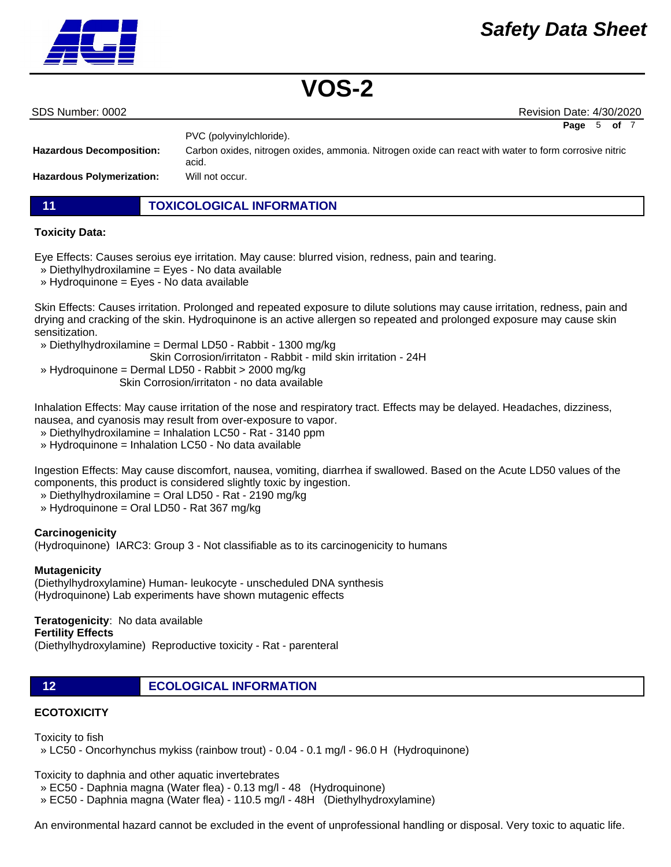

| SDS Number: 0002 |  |
|------------------|--|

Revision Date: 4/30/2020

**Page** 5 **of** 7

|                                  | PVC (polyvinylchloride).                                                                                       |
|----------------------------------|----------------------------------------------------------------------------------------------------------------|
| <b>Hazardous Decomposition:</b>  | Carbon oxides, nitrogen oxides, ammonia. Nitrogen oxide can react with water to form corrosive nitric<br>acid. |
| <b>Hazardous Polymerization:</b> | Will not occur.                                                                                                |

**11 TOXICOLOGICAL INFORMATION**

#### **Toxicity Data:**

Eye Effects: Causes seroius eye irritation. May cause: blurred vision, redness, pain and tearing.

- » Diethylhydroxilamine = Eyes No data available
- » Hydroquinone = Eyes No data available

Skin Effects: Causes irritation. Prolonged and repeated exposure to dilute solutions may cause irritation, redness, pain and drying and cracking of the skin. Hydroquinone is an active allergen so repeated and prolonged exposure may cause skin sensitization.

- » Diethylhydroxilamine = Dermal LD50 Rabbit 1300 mg/kg
	- Skin Corrosion/irritaton Rabbit mild skin irritation 24H
- » Hydroquinone = Dermal LD50 Rabbit > 2000 mg/kg Skin Corrosion/irritaton - no data available

Inhalation Effects: May cause irritation of the nose and respiratory tract. Effects may be delayed. Headaches, dizziness, nausea, and cyanosis may result from over-exposure to vapor.

- » Diethylhydroxilamine = Inhalation LC50 Rat 3140 ppm
- » Hydroquinone = Inhalation LC50 No data available

Ingestion Effects: May cause discomfort, nausea, vomiting, diarrhea if swallowed. Based on the Acute LD50 values of the components, this product is considered slightly toxic by ingestion.

- » Diethylhydroxilamine = Oral LD50 Rat 2190 mg/kg
- » Hydroquinone = Oral LD50 Rat 367 mg/kg

#### **Carcinogenicity**

(Hydroquinone) IARC3: Group 3 - Not classifiable as to its carcinogenicity to humans

#### **Mutagenicity**

(Diethylhydroxylamine) Human- leukocyte - unscheduled DNA synthesis (Hydroquinone) Lab experiments have shown mutagenic effects

### **Teratogenicity**: No data available

#### **Fertility Effects**

(Diethylhydroxylamine) Reproductive toxicity - Rat - parenteral

**12 ECOLOGICAL INFORMATION** 

### **ECOTOXICITY**

Toxicity to fish

» LC50 - Oncorhynchus mykiss (rainbow trout) - 0.04 - 0.1 mg/l - 96.0 H (Hydroquinone)

Toxicity to daphnia and other aquatic invertebrates

- » EC50 Daphnia magna (Water flea) 0.13 mg/l 48 (Hydroquinone)
- » EC50 Daphnia magna (Water flea) 110.5 mg/l 48H (Diethylhydroxylamine)

An environmental hazard cannot be excluded in the event of unprofessional handling or disposal. Very toxic to aquatic life.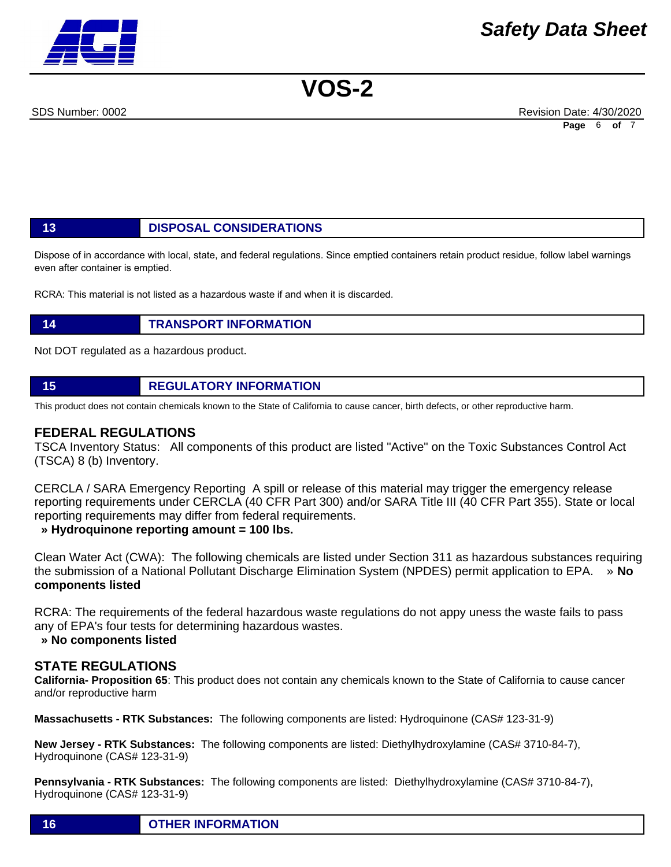SDS Number: 0002 Revision Date: 4/30/2020 **Page** 6 **of** 7

### **13 DISPOSAL CONSIDERATIONS**

Dispose of in accordance with local, state, and federal regulations. Since emptied containers retain product residue, follow label warnings even after container is emptied.

RCRA: This material is not listed as a hazardous waste if and when it is discarded.

### **14 TRANSPORT INFORMATION**

Not DOT regulated as a hazardous product.

#### **15 REGULATORY INFORMATION**

This product does not contain chemicals known to the State of California to cause cancer, birth defects, or other reproductive harm.

#### **FEDERAL REGULATIONS**

TSCA Inventory Status: All components of this product are listed "Active" on the Toxic Substances Control Act (TSCA) 8 (b) Inventory.

CERCLA / SARA Emergency Reporting A spill or release of this material may trigger the emergency release reporting requirements under CERCLA (40 CFR Part 300) and/or SARA Title III (40 CFR Part 355). State or local reporting requirements may differ from federal requirements.

 **» Hydroquinone reporting amount = 100 lbs.**

Clean Water Act (CWA): The following chemicals are listed under Section 311 as hazardous substances requiring the submission of a National Pollutant Discharge Elimination System (NPDES) permit application to EPA. » **No components listed**

RCRA: The requirements of the federal hazardous waste regulations do not appy uness the waste fails to pass any of EPA's four tests for determining hazardous wastes.

#### **» No components listed**

#### **STATE REGULATIONS**

**California- Proposition 65**: This product does not contain any chemicals known to the State of California to cause cancer and/or reproductive harm

**Massachusetts - RTK Substances:** The following components are listed: Hydroquinone (CAS# 123-31-9)

**New Jersey - RTK Substances:** The following components are listed: Diethylhydroxylamine (CAS# 3710-84-7), Hydroquinone (CAS# 123-31-9)

**Pennsylvania - RTK Substances:** The following components are listed: Diethylhydroxylamine (CAS# 3710-84-7), Hydroquinone (CAS# 123-31-9)